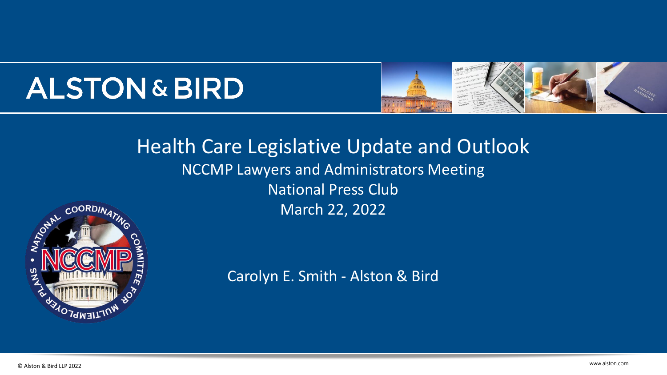# **ALSTON & BIRD**



## Health Care Legislative Update and Outlook NCCMP Lawyers and Administrators Meeting **National Press Club** March 22, 2022



Carolyn E. Smith - Alston & Bird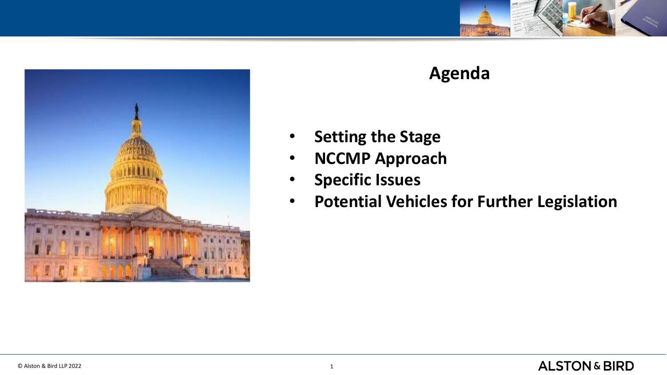



### **Agenda**

- **Setting the Stage**
- **NCCMP Approach**
- **Specific Issues**
- **Potential Vehicles for Further Legislation**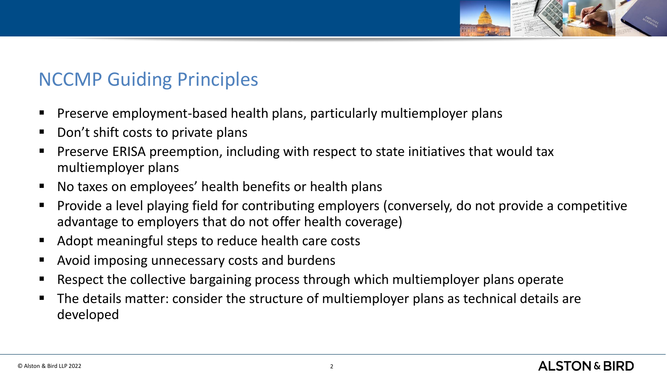

## NCCMP Guiding Principles

- Preserve employment-based health plans, particularly multiemployer plans
- Don't shift costs to private plans
- Preserve ERISA preemption, including with respect to state initiatives that would tax multiemployer plans
- No taxes on employees' health benefits or health plans
- Provide a level playing field for contributing employers (conversely, do not provide a competitive advantage to employers that do not offer health coverage)
- Adopt meaningful steps to reduce health care costs
- Avoid imposing unnecessary costs and burdens
- Respect the collective bargaining process through which multiemployer plans operate
- The details matter: consider the structure of multiemployer plans as technical details are developed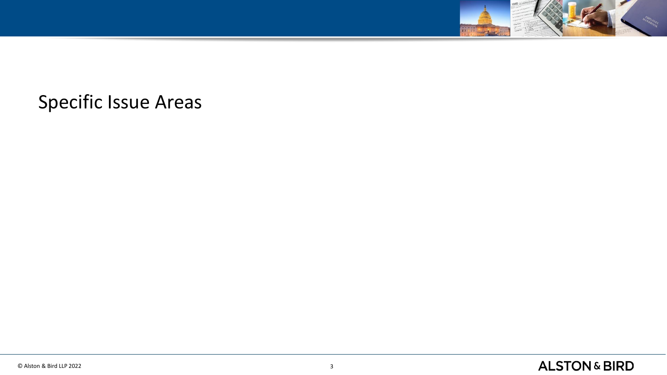

## Specific Issue Areas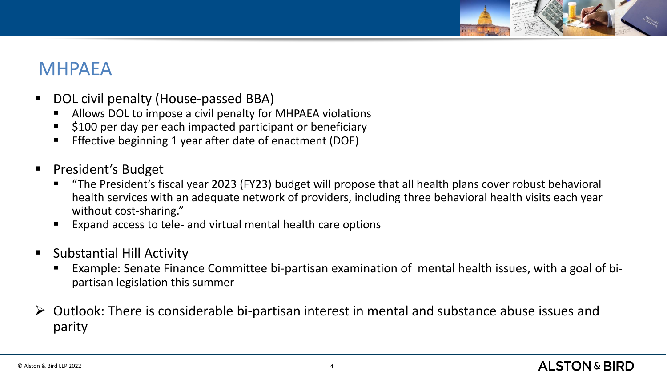

## MHPAEA

- DOL civil penalty (House-passed BBA)
	- Allows DOL to impose a civil penalty for MHPAEA violations
	- \$100 per day per each impacted participant or beneficiary
	- Effective beginning 1 year after date of enactment (DOE)
- President's Budget
	- "The President's fiscal year 2023 (FY23) budget will propose that all health plans cover robust behavioral health services with an adequate network of providers, including three behavioral health visits each year without cost-sharing."
	- Expand access to tele- and virtual mental health care options
- **Substantial Hill Activity** 
	- Example: Senate Finance Committee bi-partisan examination of mental health issues, with a goal of bipartisan legislation this summer
- $\triangleright$  Outlook: There is considerable bi-partisan interest in mental and substance abuse issues and parity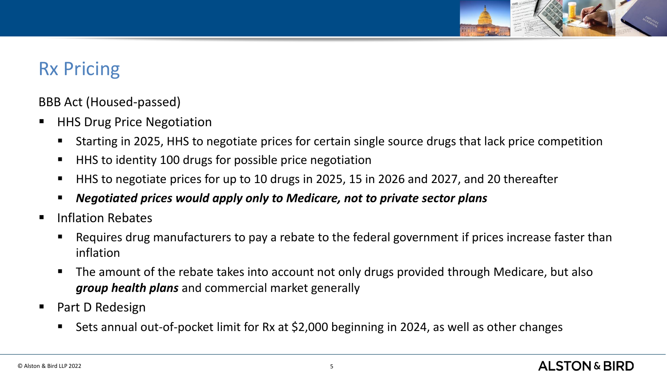

## Rx Pricing

BBB Act (Housed-passed)

- HHS Drug Price Negotiation
	- Starting in 2025, HHS to negotiate prices for certain single source drugs that lack price competition
	- HHS to identity 100 drugs for possible price negotiation
	- HHS to negotiate prices for up to 10 drugs in 2025, 15 in 2026 and 2027, and 20 thereafter
	- *Negotiated prices would apply only to Medicare, not to private sector plans*
- Inflation Rebates
	- Requires drug manufacturers to pay a rebate to the federal government if prices increase faster than inflation
	- The amount of the rebate takes into account not only drugs provided through Medicare, but also *group health plans* and commercial market generally
- Part D Redesign
	- Sets annual out-of-pocket limit for Rx at \$2,000 beginning in 2024, as well as other changes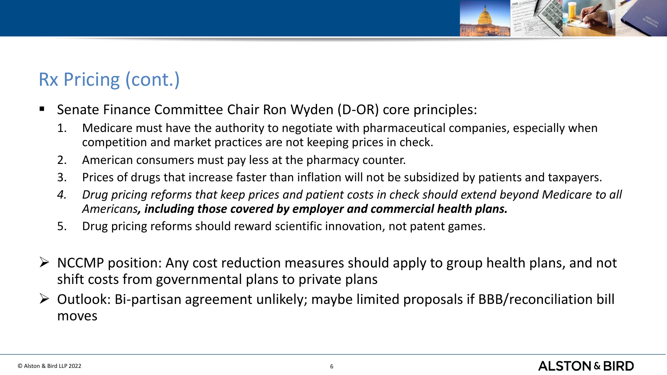## Rx Pricing (cont.)

- Senate Finance Committee Chair Ron Wyden (D-OR) core principles:
	- 1. Medicare must have the authority to negotiate with pharmaceutical companies, especially when competition and market practices are not keeping prices in check.
	- 2. American consumers must pay less at the pharmacy counter.
	- 3. Prices of drugs that increase faster than inflation will not be subsidized by patients and taxpayers.
	- *4. Drug pricing reforms that keep prices and patient costs in check should extend beyond Medicare to all Americans, including those covered by employer and commercial health plans.*
	- 5. Drug pricing reforms should reward scientific innovation, not patent games.
- ➢ NCCMP position: Any cost reduction measures should apply to group health plans, and not shift costs from governmental plans to private plans
- ➢ Outlook: Bi-partisan agreement unlikely; maybe limited proposals if BBB/reconciliation bill moves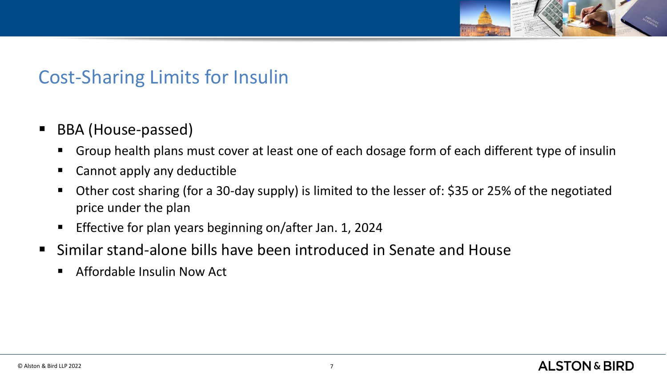

## Cost-Sharing Limits for Insulin

- BBA (House-passed)
	- Group health plans must cover at least one of each dosage form of each different type of insulin
	- Cannot apply any deductible
	- Other cost sharing (for a 30-day supply) is limited to the lesser of: \$35 or 25% of the negotiated price under the plan
	- Effective for plan years beginning on/after Jan. 1, 2024
- Similar stand-alone bills have been introduced in Senate and House
	- Affordable Insulin Now Act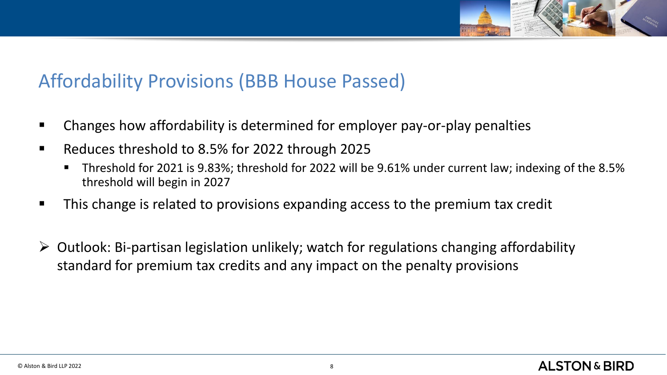

## Affordability Provisions (BBB House Passed)

- Changes how affordability is determined for employer pay-or-play penalties
- Reduces threshold to 8.5% for 2022 through 2025
	- Threshold for 2021 is 9.83%; threshold for 2022 will be 9.61% under current law; indexing of the 8.5% threshold will begin in 2027
- This change is related to provisions expanding access to the premium tax credit
- $\triangleright$  Outlook: Bi-partisan legislation unlikely; watch for regulations changing affordability standard for premium tax credits and any impact on the penalty provisions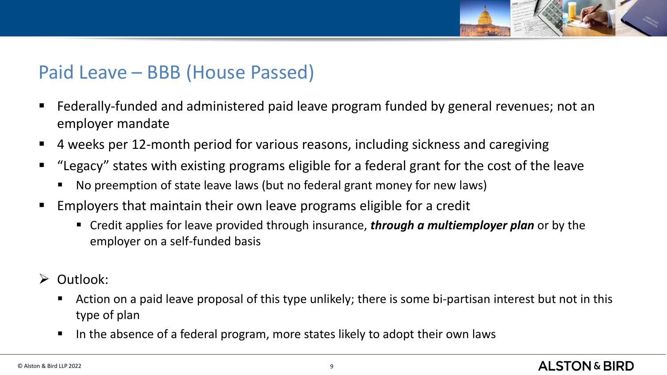

## Paid Leave – BBB (House Passed)

- Federally-funded and administered paid leave program funded by general revenues; not an employer mandate
- 4 weeks per 12-month period for various reasons, including sickness and caregiving
- "Legacy" states with existing programs eligible for a federal grant for the cost of the leave
	- No preemption of state leave laws (but no federal grant money for new laws)
- **Employers that maintain their own leave programs eligible for a credit** 
	- Credit applies for leave provided through insurance, *through a multiemployer plan* or by the employer on a self-funded basis
- ➢ Outlook:
	- Action on a paid leave proposal of this type unlikely; there is some bi-partisan interest but not in this type of plan
	- In the absence of a federal program, more states likely to adopt their own laws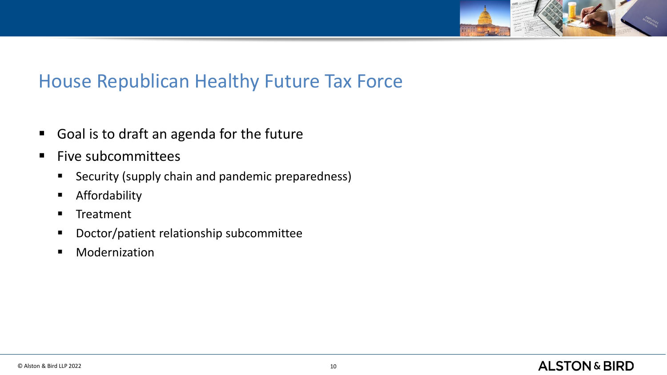

## House Republican Healthy Future Tax Force

- Goal is to draft an agenda for the future
- Five subcommittees
	- Security (supply chain and pandemic preparedness)
	- **■** Affordability
	- Treatment
	- Doctor/patient relationship subcommittee
	- Modernization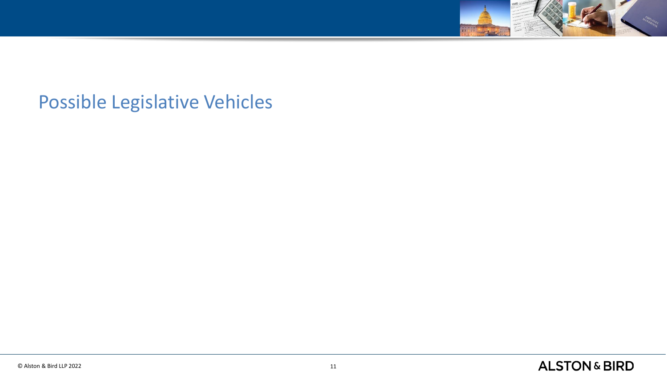

## Possible Legislative Vehicles